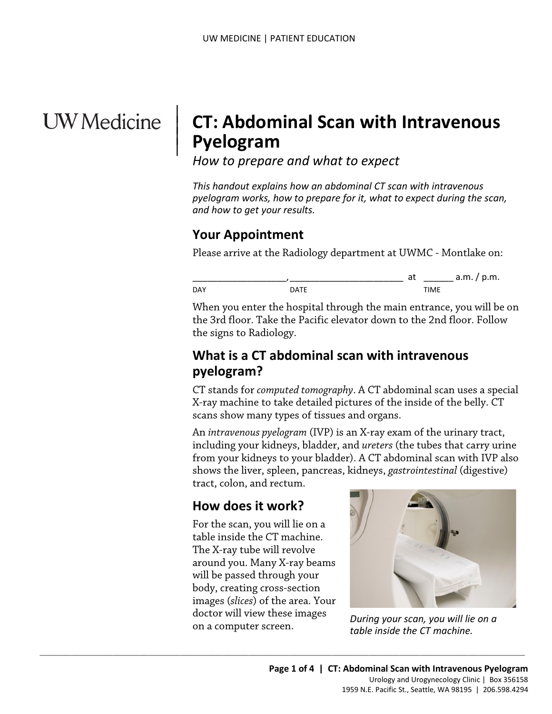# **UW** Medicine

 $\parallel$  $\vert$  $\vert$ 

# **CT: Abdominal Scan with Intravenous Pyelogram**

*How to prepare and what to expect*

*This handout explains how an abdominal CT scan with intravenous pyelogram works, how to prepare for it, what to expect during the scan, and how to get your results.*

## **Your Appointment**

Please arrive at the Radiology department at UWMC - Montlake on:



Please arrive at the Radiology department at UWMC - Montlake<br>
DAY at  $\frac{1}{DATE}$  a.m./<br>
When you enter the hospital through the main entrance, you w<br>
the 3rd floor. Take the Pacific elevator down to the 2nd floor. F<br>
the si When you enter the hospital through the main entrance, you will be on the 3rd floor. Take the Pacific elevator down to the 2nd floor. Follow the signs to Radiology.

## **What is a CT abdominal scan with intravenous pyelogram?**

CT stands for *computed tomography*. A CT abdominal scan uses a special X-ray machine to take detailed pictures of the inside of the belly. CT scans show many types of tissues and organs.

An *intravenous pyelogram* (IVP) is an X-ray exam of the urinary tract, including your kidneys, bladder, and *ureters* (the tubes that carry urine from your kidneys to your bladder). A CT abdominal scan with IVP also shows the liver, spleen, pancreas, kidneys, *gastrointestinal* (digestive) tract, colon, and rectum.

# **How does it work?**

For the scan, you will lie on a table inside the CT machine. The X-ray tube will revolve around you. Many X-ray beams will be passed through your body, creating cross-section images (*slices*) of the area. Your doctor will view these images on a computer screen.

 $\_$  ,  $\_$  ,  $\_$  ,  $\_$  ,  $\_$  ,  $\_$  ,  $\_$  ,  $\_$  ,  $\_$  ,  $\_$  ,  $\_$  ,  $\_$  ,  $\_$  ,  $\_$  ,  $\_$  ,  $\_$  ,  $\_$  ,  $\_$  ,  $\_$  ,  $\_$  ,  $\_$  ,  $\_$  ,  $\_$  ,  $\_$  ,  $\_$  ,  $\_$  ,  $\_$  ,  $\_$  ,  $\_$  ,  $\_$  ,  $\_$  ,  $\_$  ,  $\_$  ,  $\_$  ,  $\_$  ,  $\_$  ,  $\_$  ,



*During your scan, you will lie on a table inside the CT machine.*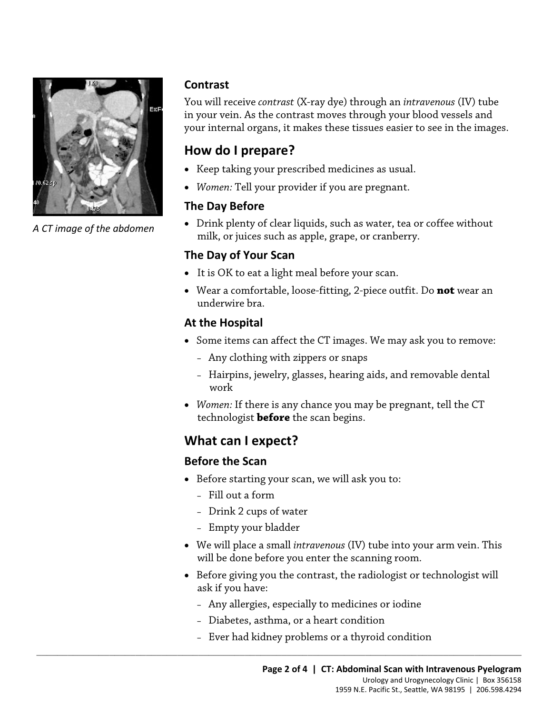

*A CT image of the abdomen*

#### **Contrast**

You will receive *contrast* (X-ray dye) through an *intravenous* (IV) tube in your vein. As the contrast moves through your blood vessels and your internal organs, it makes these tissues easier to see in the images.

# **How do I prepare?**

- Keep taking your prescribed medicines as usual.
- *Women:* Tell your provider if you are pregnant.

#### **The Day Before**

• Drink plenty of clear liquids, such as water, tea or coffee without milk, or juices such as apple, grape, or cranberry.

#### **The Day of Your Scan**

- It is OK to eat a light meal before your scan.
- It is OK to eat a light meal before your scan.<br>• Wear a comfortable, loose-fitting, 2-piece outfit. Do **not** wear an underwire bra.<br>**At the Hospital**<br>• Some items can affect the CT images. We may ask you to remove<br>- Any • Wear a comfortable, loose-fitting, 2-piece outfit. Do **not** wear an underwire bra.

#### **At the Hospital**

- Some items can affect the CT images. We may ask you to remove:
	- Any clothing with zippers or snaps
	- Hairpins, jewelry, glasses, hearing aids, and removable dental work
- *Women:* If there is any chance you may be pregnant, tell the CT technologist **before** the scan begins.

# **What can I expect?**

#### **Before the Scan**

- Before starting your scan, we will ask you to:
	- Fill out a form
	- Drink 2 cups of water
	- Empty your bladder
- We will place a small *intravenous* (IV) tube into your arm vein. This will be done before you enter the scanning room.
- Before giving you the contrast, the radiologist or technologist will ask if you have:
	- Any allergies, especially to medicines or iodine
	- Diabetes, asthma, or a heart condition

 $\_$  ,  $\_$  ,  $\_$  ,  $\_$  ,  $\_$  ,  $\_$  ,  $\_$  ,  $\_$  ,  $\_$  ,  $\_$  ,  $\_$  ,  $\_$  ,  $\_$  ,  $\_$  ,  $\_$  ,  $\_$  ,  $\_$  ,  $\_$  ,  $\_$  ,  $\_$  ,  $\_$  ,  $\_$  ,  $\_$  ,  $\_$  ,  $\_$  ,  $\_$  ,  $\_$  ,  $\_$  ,  $\_$  ,  $\_$  ,  $\_$  ,  $\_$  ,  $\_$  ,  $\_$  ,  $\_$  ,  $\_$  ,  $\_$  ,

– Ever had kidney problems or a thyroid condition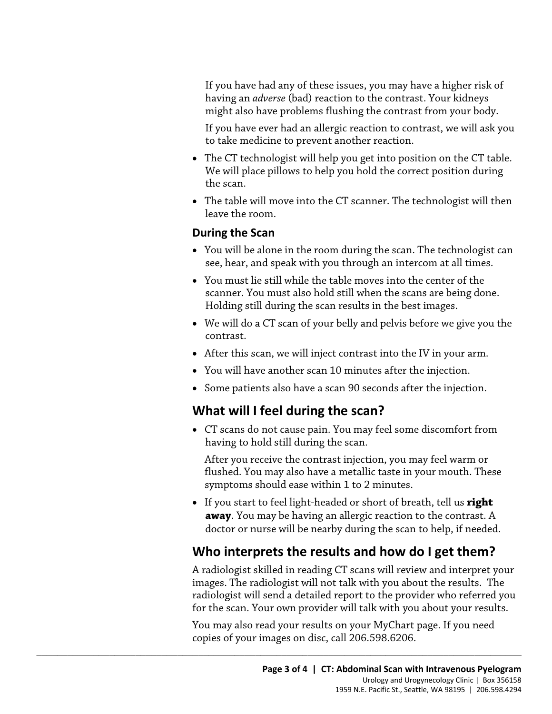If you have had any of these issues, you may have a higher risk of having an *adverse* (bad) reaction to the contrast. Your kidneys might also have problems flushing the contrast from your body.

If you have ever had an allergic reaction to contrast, we will ask you to take medicine to prevent another reaction.

- The CT technologist will help you get into position on the CT table. We will place pillows to help you hold the correct position during the scan.
- The table will move into the CT scanner. The technologist will then leave the room.

#### **During the Scan**

- You will be alone in the room during the scan. The technologist can see, hear, and speak with you through an intercom at all times.
- see, hear, and speak with you through an intercom at all times.<br>• You must lie still while the table moves into the center of the scanner. You must also hold still when the scans are being dones Holding still during the sc • You must lie still while the table moves into the center of the scanner. You must also hold still when the scans are being done. Holding still during the scan results in the best images.
	- We will do a CT scan of your belly and pelvis before we give you the contrast.
	- After this scan, we will inject contrast into the IV in your arm.
	- You will have another scan 10 minutes after the injection.
	- Some patients also have a scan 90 seconds after the injection.

#### **What will I feel during the scan?**

 $\_$  ,  $\_$  ,  $\_$  ,  $\_$  ,  $\_$  ,  $\_$  ,  $\_$  ,  $\_$  ,  $\_$  ,  $\_$  ,  $\_$  ,  $\_$  ,  $\_$  ,  $\_$  ,  $\_$  ,  $\_$  ,  $\_$  ,  $\_$  ,  $\_$  ,  $\_$  ,  $\_$  ,  $\_$  ,  $\_$  ,  $\_$  ,  $\_$  ,  $\_$  ,  $\_$  ,  $\_$  ,  $\_$  ,  $\_$  ,  $\_$  ,  $\_$  ,  $\_$  ,  $\_$  ,  $\_$  ,  $\_$  ,  $\_$  ,

• CT scans do not cause pain. You may feel some discomfort from having to hold still during the scan.

After you receive the contrast injection, you may feel warm or flushed. You may also have a metallic taste in your mouth. These symptoms should ease within 1 to 2 minutes.

• If you start to feel light-headed or short of breath, tell us **right away**. You may be having an allergic reaction to the contrast. A doctor or nurse will be nearby during the scan to help, if needed.

# **Who interprets the results and how do I get them?**

A radiologist skilled in reading CT scans will review and interpret your images. The radiologist will not talk with you about the results. The radiologist will send a detailed report to the provider who referred you for the scan. Your own provider will talk with you about your results.

You may also read your results on your MyChart page. If you need copies of your images on disc, call 206.598.6206.